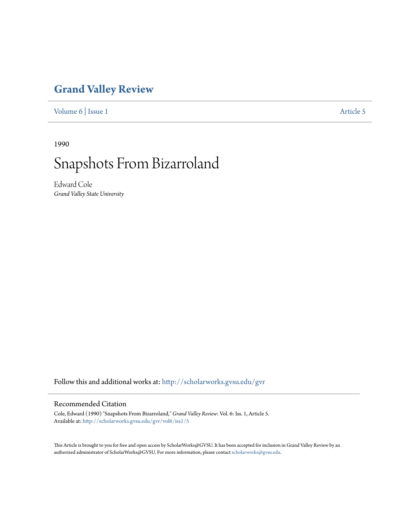### **[Grand Valley Review](http://scholarworks.gvsu.edu/gvr?utm_source=scholarworks.gvsu.edu%2Fgvr%2Fvol6%2Fiss1%2F5&utm_medium=PDF&utm_campaign=PDFCoverPages)**

[Volume 6](http://scholarworks.gvsu.edu/gvr/vol6?utm_source=scholarworks.gvsu.edu%2Fgvr%2Fvol6%2Fiss1%2F5&utm_medium=PDF&utm_campaign=PDFCoverPages) | [Issue 1](http://scholarworks.gvsu.edu/gvr/vol6/iss1?utm_source=scholarworks.gvsu.edu%2Fgvr%2Fvol6%2Fiss1%2F5&utm_medium=PDF&utm_campaign=PDFCoverPages) [Article 5](http://scholarworks.gvsu.edu/gvr/vol6/iss1/5?utm_source=scholarworks.gvsu.edu%2Fgvr%2Fvol6%2Fiss1%2F5&utm_medium=PDF&utm_campaign=PDFCoverPages)

1990

# Snapshots From Bizarroland

Edward Cole *Grand Valley State University*

Follow this and additional works at: [http://scholarworks.gvsu.edu/gvr](http://scholarworks.gvsu.edu/gvr?utm_source=scholarworks.gvsu.edu%2Fgvr%2Fvol6%2Fiss1%2F5&utm_medium=PDF&utm_campaign=PDFCoverPages)

#### Recommended Citation

Cole, Edward (1990) "Snapshots From Bizarroland," *Grand Valley Review*: Vol. 6: Iss. 1, Article 5. Available at: [http://scholarworks.gvsu.edu/gvr/vol6/iss1/5](http://scholarworks.gvsu.edu/gvr/vol6/iss1/5?utm_source=scholarworks.gvsu.edu%2Fgvr%2Fvol6%2Fiss1%2F5&utm_medium=PDF&utm_campaign=PDFCoverPages)

This Article is brought to you for free and open access by ScholarWorks@GVSU. It has been accepted for inclusion in Grand Valley Review by an authorized administrator of ScholarWorks@GVSU. For more information, please contact [scholarworks@gvsu.edu.](mailto:scholarworks@gvsu.edu)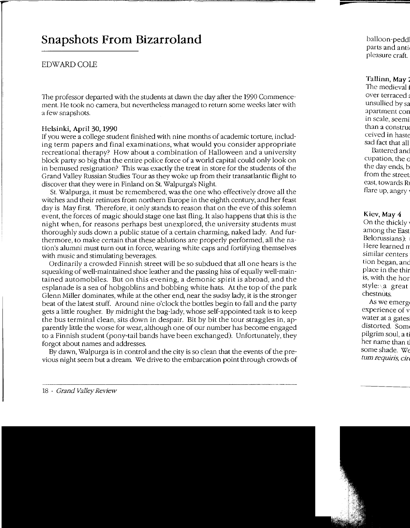## **Snapshots From Bizarroland**

#### EDWARD COLE

The professor departed with the students at dawn the day after the 1990 Commencement. He took no camera, but nevertheless managed to return some weeks later with a few snapshots.

#### Helsinki, April 30, 1990

If you were a college student finished with nine months of academic torture, including term papers and final examinations, what would you consider appropriate recreational therapy? How about a combination of Halloween and a university block party so big that the entire police force of a world capital could only look on in bemused resignation? This was exactly the treat in store for the students of the Grand Valley Russian Studies Tour as they woke up from their transatlantic flight to discover that they were in Finland on St. Walpurga's Night.

St. Walpurga, it must be remembered, was the one who effectively drove all the witches and their retinues from northern Europe in the eighth century, and her feast day is May first. Therefore, it only stands to reason that on the eve of this solemn event, the forces of magic should stage one last fling. It also happens that this is the night when, for reasons perhaps best unexplored, the university students must thoroughly suds down a public statue of a certain charming, naked lady. And furthermore, to make certain that these ablutions are properly performed, all the nation's alumni must turn out in force, wearing white caps and fortifying themselves with music and stimulating beverages.

Ordinarily a crowded Finnish street will be so subdued that all one hears is the squeaking of well-maintained shoe leather and the passing hiss of equally well-maintained automobiles. But on this evening, a demonic spirit is abroad, and the esplanade is a sea of hobgoblins and bobbing white hats. At the top of the park Glenn Miller dominates, while at the other end, near the sudsy lady, it is the stronger beat of the latest stuff. Around nine o'clock the bottles begin to fall and the party gets a little rougher. By midnight the bag-lady, whose self-appointed task is to keep the bus terminal clean, sits down in despair. Bit by bit the tour straggles in, apparently little the worse for wear, although one of our number has become engaged to a Finnish student (pony-tail bands have been exchanged). Unfortunately, they forgot about names and addresses.

By dawn, Walpurga is in control and the city is so clean that the events of the previous night seem but a dream. We drive to the embarcation point through crowds of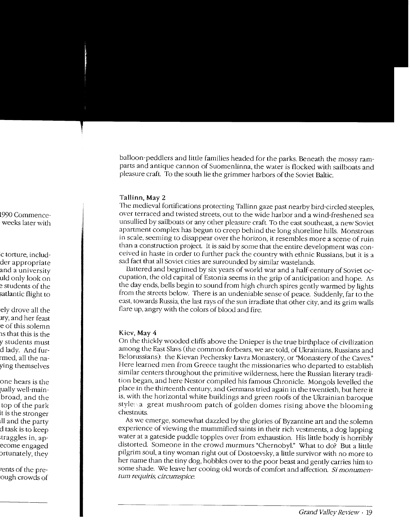balloon-peddlers and little families headed for the parks. Beneath the mossy ramparts and antique cannon of Suomenlinna, the water is flocked with sailboats and pleasure craft. To the south lie the grimmer harbors of the Soviet Baltic.

#### **Tallinn,** May 2

The medieval fortifications protecting Tallinn gaze past nearby bird-circled steeples, over terraced and twisted streets, out to the wide harbor and a wind-freshened sea unsullied by sailboats or any other pleasure craft. To the east southeast, a new Soviet apartment complex has begun to creep behind the long shoreline hills. Monstrous in scale, seeming to disappear over the horizon, it resembles more a scene of ruin than a construction project. It is said by some that the entire development was conceived in haste in order to further pack the country with ethnic Russians, but it is a sad fact that all Soviet cities are surrounded by similar wastelands.

Battered and begrimed by six years of world war and a half-century of Soviet occupation, the old capital of Estonia seems in the grip of anticipation and hope. As the day ends, bells begin to sound from high church spires gently warmed by lights from the streets below. There is an undeniable sense of peace. Suddenly, far to the east. towards Russia, the last rays of the sun irradiate that other city, and its grim walls flare up, angry with the colors of blood and fire.

#### Kiev, May 4

On the thickly wooded cliffs above the Dnieper is the true birthplace of civilization among the East Slavs (the common forbears, we are told, of Ukrainians, Russians and Belorussians): the Kievan Pechersky Lavra Monastery, or "Monastery of the Caves." Here learned men from Greece taught the missionaries who departed to establish similar centers throughout the primitive wilderness, here the Russian literary tradition began, and here Nestor compiled his famous Chronicle. Mongols levelled the place in the thirteenth century, and Germans tried again in the twentieth, but here it is, with the horizontal white buildings and green roofs of the Ukrainian baroque style:\a great mushroom patch of golden domes rising above the blooming chestnuts.

As we emerge, somewhat dazzled by the glories of Byzantine art and the solemn experience of viewing the mummified saints in their rich vestments, a dog lapping water at a gateside puddle topples over from exhaustion. His little body is horribly distorted. Someone in the crowd murmurs "Chernobyl." What to do? But a little pilgrim souL a tiny woman right out of Dostoevsky, a little survivor with no more to her name than the tiny dog, hobbles over to the poor beast and gently carries him to some shade. We leave her cooing old words of comfort and affection. *Si monumentum requiris, circumspice.*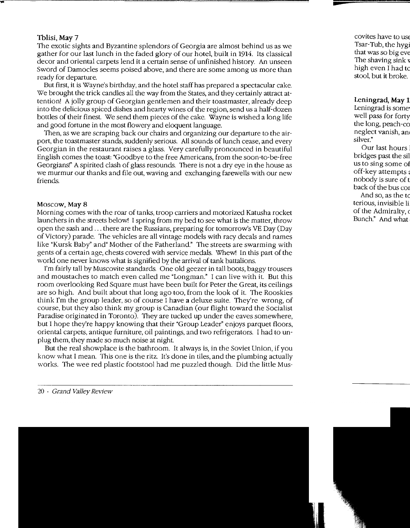#### Tblisi, May 7

The exotic sights and Byzantine splendors of Georgia are almost behind us as we gather for our last lunch in the faded glory of our hotel, built in 1914. Its classical decor and oriental carpets lend it a certain sense of unfinished history. An unseen Sword of Damocles seems poised above, and there are some among us more than ready for departure.

But first, it is Wayne's birthday, and the hotel staff has prepared a spectacular cake. We brought the trick candles all the way from the States, and they certainly attract attention! A jolly group of Georgian gentlemen and their toastmaster, already deep into the delicious spiced dishes and hearty wines of the region, send us a half-dozen bottles of their finest. We send them pieces of the cake. Wayne is wished a long life and good fortune in the most flowery and eloquent language.

Then, as we are scraping back our chairs and organizing our departure to the airport, the toastmaster stands, suddenly serious. All sounds of lunch cease, and every Georgian in the restaurant raises a glass. Very carefully pronounced in beautiful English comes the toast: "Goodbye to the free Americans, from the soon-to-be-free Georgians!" A spirited clash of glass resounds. 1here is not a dry eye in the house as we murmur our thanks and file out, waving and exchanging farewells with our new friends.

#### Moscow, May 8

Morning comes with the roar of tanks, troop carriers and motorized Katusha rocket launchers in the streets below! I spring from my bed to see what is the matter, throw open the sash and ... there are the Russians, preparing for tomorrow's VE Day (Day of Victory) parade. The vehicles are all vintage models with racy decals and names like "Kursk Baby" and" Mother of the Fatherland." The streets are swarming with gents of a certain age, chests covered with service medals. Whew! In this part of the world one never knows what is signified by the arrival of tank battalions.

I'm fairly tall by Muscovite standards. One old geezer in tall boots, baggy trousers and moustaches to match even called me "Longman." I can live with it. But this room overlooking Red Square must have been built for Peter the Great, its ceilings are so high. And built about that long ago too, from the look of it. The Rooskies think I'm the group leader, so of course I have a deluxe suite. They're wrong, of course, but they also think my group is Canadian (our flight toward the Socialist Paradise originated in Toronto). They are tucked up under the eaves somewhere, but I hope they're happy knowing that their "Group Leader" enjoys parquet floors, oriental carpets, antique furniture, oil paintings, and two refrigerators. I had to unplug them, they made so much noise at night.

But the real showplace is the bathroom. It always is, in the Soviet Union, if you know what I mean. This one is the ritz. It's done in tiles, and the plumbing actually works. The wee red plastic footstool had me puzzled though. Did the little Mus-